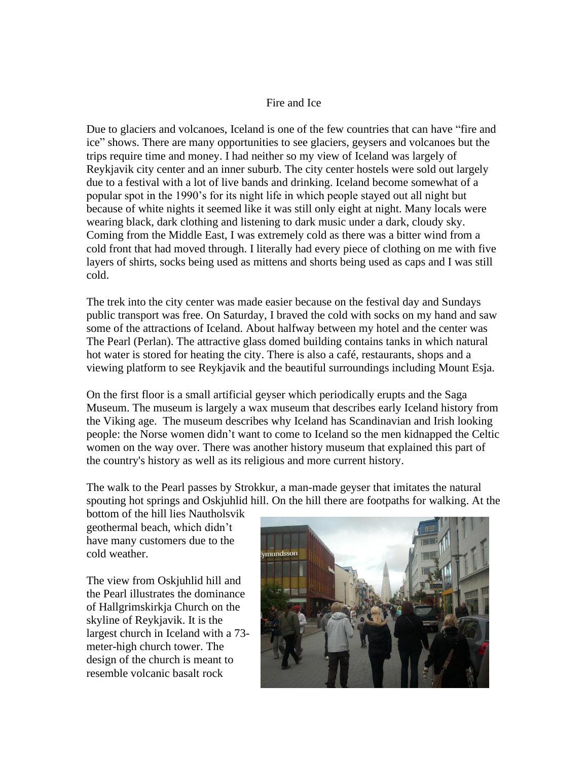## Fire and Ice

Due to glaciers and volcanoes, Iceland is one of the few countries that can have "fire and ice" shows. There are many opportunities to see glaciers, geysers and volcanoes but the trips require time and money. I had neither so my view of Iceland was largely of Reykjavik city center and an inner suburb. The city center hostels were sold out largely due to a festival with a lot of live bands and drinking. Iceland become somewhat of a popular spot in the 1990's for its night life in which people stayed out all night but because of white nights it seemed like it was still only eight at night. Many locals were wearing black, dark clothing and listening to dark music under a dark, cloudy sky. Coming from the Middle East, I was extremely cold as there was a bitter wind from a cold front that had moved through. I literally had every piece of clothing on me with five layers of shirts, socks being used as mittens and shorts being used as caps and I was still cold.

The trek into the city center was made easier because on the festival day and Sundays public transport was free. On Saturday, I braved the cold with socks on my hand and saw some of the attractions of Iceland. About halfway between my hotel and the center was The Pearl (Perlan). The attractive glass domed building contains tanks in which natural hot water is stored for heating the city. There is also a café, restaurants, shops and a viewing platform to see Reykjavik and the beautiful surroundings including Mount Esja.

On the first floor is a small artificial geyser which periodically erupts and the Saga Museum. The museum is largely a wax museum that describes early Iceland history from the Viking age. The museum describes why Iceland has Scandinavian and Irish looking people: the Norse women didn't want to come to Iceland so the men kidnapped the Celtic women on the way over. There was another history museum that explained this part of the country's history as well as its religious and more current history.

The walk to the Pearl passes by Strokkur, a man-made geyser that imitates the natural spouting hot springs and Oskjuhlid hill. On the hill there are footpaths for walking. At the

bottom of the hill lies Nautholsvik geothermal beach, which didn't have many customers due to the cold weather.

The view from Oskjuhlid hill and the Pearl illustrates the dominance of Hallgrimskirkja Church on the skyline of Reykjavik. It is the largest church in Iceland with a 73 meter-high church tower. The design of the church is meant to resemble volcanic basalt rock